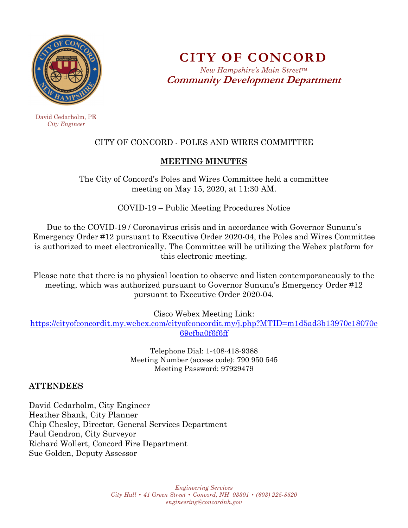

**CITY OF CONCORD**  *New Hampshire's Main Street™* **Community Development Department** 

 David Cedarholm, PE  *City Engineer* 

# CITY OF CONCORD - POLES AND WIRES COMMITTEE

#### **MEETING MINUTES**

The City of Concord's Poles and Wires Committee held a committee meeting on May 15, 2020, at 11:30 AM.

COVID-19 – Public Meeting Procedures Notice

Due to the COVID-19 / Coronavirus crisis and in accordance with Governor Sununu's Emergency Order #12 pursuant to Executive Order 2020-04, the Poles and Wires Committee is authorized to meet electronically. The Committee will be utilizing the Webex platform for this electronic meeting.

Please note that there is no physical location to observe and listen contemporaneously to the meeting, which was authorized pursuant to Governor Sununu's Emergency Order #12 pursuant to Executive Order 2020-04.

Cisco Webex Meeting Link:

https://cityofconcordit.my.webex.com/cityofconcordit.my/j.php?MTID=m1d5ad3b13970c18070e 69efba0f6f6ff

> Telephone Dial: 1-408-418-9388 Meeting Number (access code): 790 950 545 Meeting Password: 97929479

#### **ATTENDEES**

David Cedarholm, City Engineer Heather Shank, City Planner Chip Chesley, Director, General Services Department Paul Gendron, City Surveyor Richard Wollert, Concord Fire Department Sue Golden, Deputy Assessor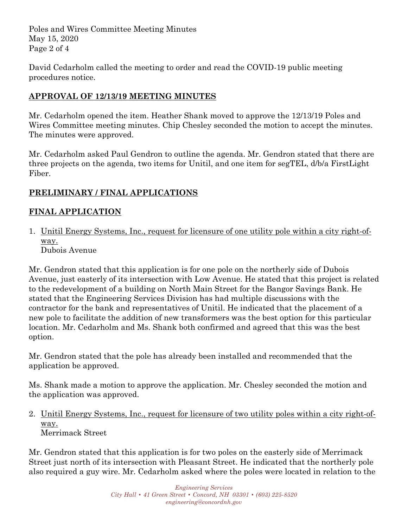Poles and Wires Committee Meeting Minutes May 15, 2020 Page 2 of 4

David Cedarholm called the meeting to order and read the COVID-19 public meeting procedures notice.

## **APPROVAL OF 12/13/19 MEETING MINUTES**

Mr. Cedarholm opened the item. Heather Shank moved to approve the 12/13/19 Poles and Wires Committee meeting minutes. Chip Chesley seconded the motion to accept the minutes. The minutes were approved.

Mr. Cedarholm asked Paul Gendron to outline the agenda. Mr. Gendron stated that there are three projects on the agenda, two items for Unitil, and one item for segTEL, d/b/a FirstLight Fiber.

## **PRELIMINARY / FINAL APPLICATIONS**

## **FINAL APPLICATION**

1. Unitil Energy Systems, Inc., request for licensure of one utility pole within a city right-ofway. Dubois Avenue

Mr. Gendron stated that this application is for one pole on the northerly side of Dubois Avenue, just easterly of its intersection with Low Avenue. He stated that this project is related to the redevelopment of a building on North Main Street for the Bangor Savings Bank. He stated that the Engineering Services Division has had multiple discussions with the contractor for the bank and representatives of Unitil. He indicated that the placement of a new pole to facilitate the addition of new transformers was the best option for this particular location. Mr. Cedarholm and Ms. Shank both confirmed and agreed that this was the best option.

Mr. Gendron stated that the pole has already been installed and recommended that the application be approved.

Ms. Shank made a motion to approve the application. Mr. Chesley seconded the motion and the application was approved.

2. Unitil Energy Systems, Inc., request for licensure of two utility poles within a city right-ofway. Merrimack Street

Mr. Gendron stated that this application is for two poles on the easterly side of Merrimack Street just north of its intersection with Pleasant Street. He indicated that the northerly pole also required a guy wire. Mr. Cedarholm asked where the poles were located in relation to the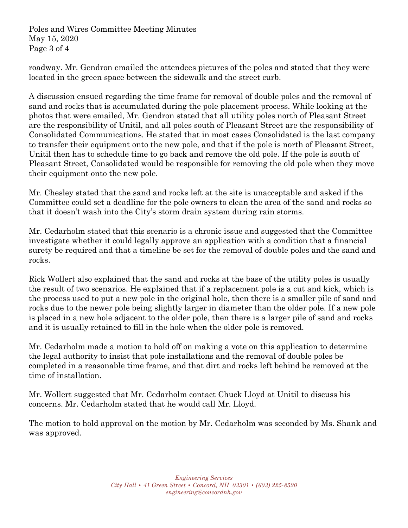Poles and Wires Committee Meeting Minutes May 15, 2020 Page 3 of 4

roadway. Mr. Gendron emailed the attendees pictures of the poles and stated that they were located in the green space between the sidewalk and the street curb.

A discussion ensued regarding the time frame for removal of double poles and the removal of sand and rocks that is accumulated during the pole placement process. While looking at the photos that were emailed, Mr. Gendron stated that all utility poles north of Pleasant Street are the responsibility of Unitil, and all poles south of Pleasant Street are the responsibility of Consolidated Communications. He stated that in most cases Consolidated is the last company to transfer their equipment onto the new pole, and that if the pole is north of Pleasant Street, Unitil then has to schedule time to go back and remove the old pole. If the pole is south of Pleasant Street, Consolidated would be responsible for removing the old pole when they move their equipment onto the new pole.

Mr. Chesley stated that the sand and rocks left at the site is unacceptable and asked if the Committee could set a deadline for the pole owners to clean the area of the sand and rocks so that it doesn't wash into the City's storm drain system during rain storms.

Mr. Cedarholm stated that this scenario is a chronic issue and suggested that the Committee investigate whether it could legally approve an application with a condition that a financial surety be required and that a timeline be set for the removal of double poles and the sand and rocks.

Rick Wollert also explained that the sand and rocks at the base of the utility poles is usually the result of two scenarios. He explained that if a replacement pole is a cut and kick, which is the process used to put a new pole in the original hole, then there is a smaller pile of sand and rocks due to the newer pole being slightly larger in diameter than the older pole. If a new pole is placed in a new hole adjacent to the older pole, then there is a larger pile of sand and rocks and it is usually retained to fill in the hole when the older pole is removed.

Mr. Cedarholm made a motion to hold off on making a vote on this application to determine the legal authority to insist that pole installations and the removal of double poles be completed in a reasonable time frame, and that dirt and rocks left behind be removed at the time of installation.

Mr. Wollert suggested that Mr. Cedarholm contact Chuck Lloyd at Unitil to discuss his concerns. Mr. Cedarholm stated that he would call Mr. Lloyd.

The motion to hold approval on the motion by Mr. Cedarholm was seconded by Ms. Shank and was approved.